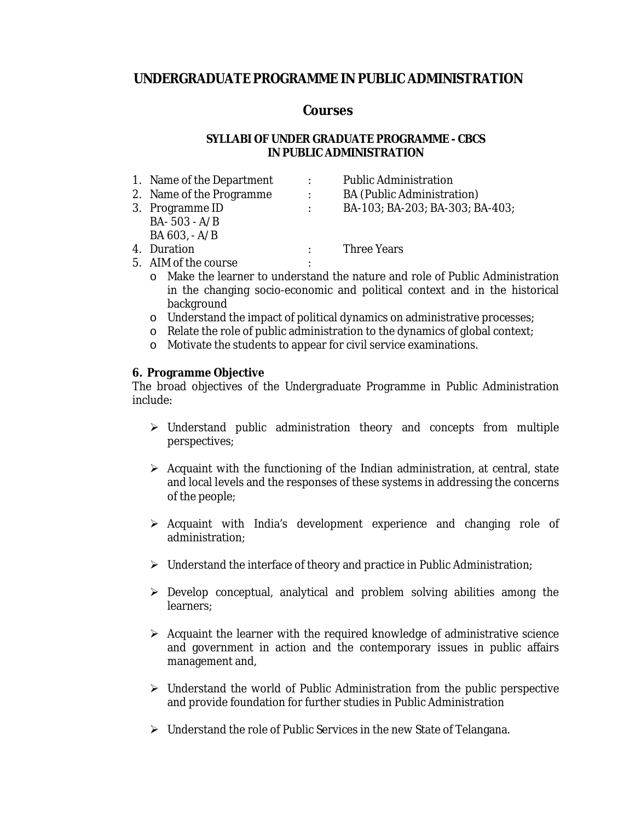# **UNDERGRADUATE PROGRAMME IN PUBLIC ADMINISTRATION**

## **Courses**

## **SYLLABI OF UNDER GRADUATE PROGRAMME - CBCS IN PUBLIC ADMINISTRATION**

| 1. Name of the Department | $\ddot{\phantom{a}}$ | <b>Public Administration</b>      |
|---------------------------|----------------------|-----------------------------------|
| 2. Name of the Programme  | $\ddot{\cdot}$       | <b>BA</b> (Public Administration) |
| 3. Programme ID           |                      | BA-103; BA-203; BA-303; BA-403;   |
| $BA - 503 - A/B$          |                      |                                   |
| $BA 603, -A/B$            |                      |                                   |
| 4. Duration               |                      | <b>Three Years</b>                |
| 5. AIM of the course      |                      |                                   |

- o Make the learner to understand the nature and role of Public Administration in the changing socio-economic and political context and in the historical background
- o Understand the impact of political dynamics on administrative processes;
- o Relate the role of public administration to the dynamics of global context;
- o Motivate the students to appear for civil service examinations.

**6. Programme Objective** 

The broad objectives of the Undergraduate Programme in Public Administration include:

- $\triangleright$  Understand public administration theory and concepts from multiple perspectives;
- $\triangleright$  Acquaint with the functioning of the Indian administration, at central, state and local levels and the responses of these systems in addressing the concerns of the people;
- $\triangleright$  Acquaint with India's development experience and changing role of administration;
- $\triangleright$  Understand the interface of theory and practice in Public Administration;
- $\triangleright$  Develop conceptual, analytical and problem solving abilities among the learners;
- $\triangleright$  Acquaint the learner with the required knowledge of administrative science and government in action and the contemporary issues in public affairs management and,
- $\triangleright$  Understand the world of Public Administration from the public perspective and provide foundation for further studies in Public Administration
- $\triangleright$  Understand the role of Public Services in the new State of Telangana.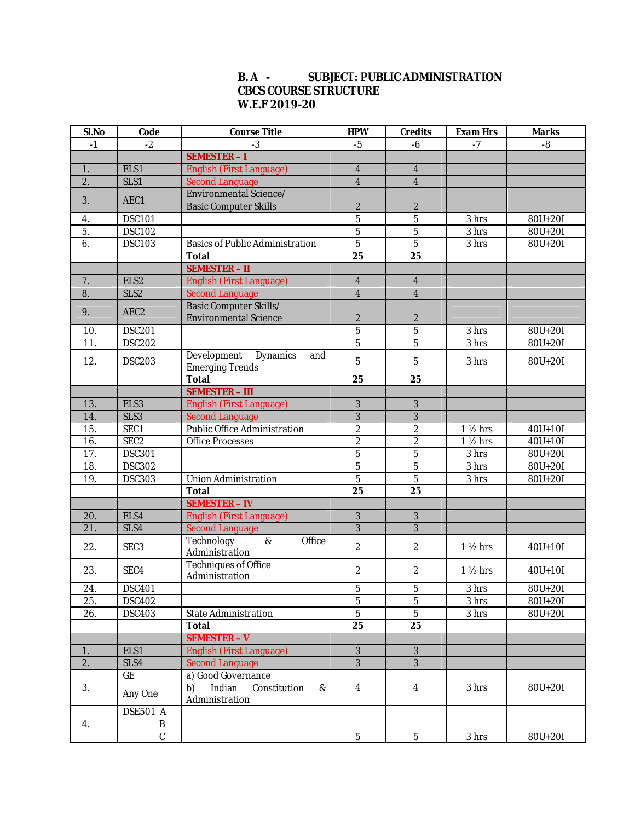## **B. A - SUBJECT: PUBLIC ADMINISTRATION CBCS COURSE STRUCTURE W.E.F 2019-20**

| Sl.No            | Code                                                | <b>Course Title</b>                    | <b>HPW</b>       | Credits                 | Exam Hrs           | Marks       |
|------------------|-----------------------------------------------------|----------------------------------------|------------------|-------------------------|--------------------|-------------|
| $-1$             | $-2$                                                | $-3$                                   | $-5$             | $-6$                    | $-7$               | $-8$        |
|                  |                                                     | <b>SEMESTER-I</b>                      |                  |                         |                    |             |
| 1.               | ELS1                                                | English (First Language)               | $\overline{4}$   | $\overline{4}$          |                    |             |
| $\overline{2}$ . | $\overline{\text{SLS}}$ 1<br><b>Second Language</b> |                                        | $\overline{4}$   | $\overline{4}$          |                    |             |
|                  | Environmental Science/                              |                                        |                  |                         |                    |             |
| 3.               | AEC1                                                | <b>Basic Computer Skills</b>           | $\boldsymbol{2}$ | $\boldsymbol{2}$        |                    |             |
| 4.               | <b>DSC101</b>                                       |                                        | $\overline{5}$   | $\overline{5}$          | 3 hrs              | 80U+20I     |
| 5.               | <b>DSC102</b>                                       |                                        | $\overline{5}$   | $\overline{5}$          | 3 hrs              | $80U+20I$   |
| 6.               | <b>DSC103</b>                                       | <b>Basics of Public Administration</b> | $\overline{5}$   | $\overline{5}$          | 3 <sub>hrs</sub>   | $80U + 20I$ |
|                  |                                                     | Total                                  | 25               | 25                      |                    |             |
|                  |                                                     | <b>SEMESTER - II</b>                   |                  |                         |                    |             |
| 7.               | ELS <sub>2</sub>                                    | <b>English (First Language)</b>        | $\overline{4}$   | $\overline{\mathbf{4}}$ |                    |             |
| 8.               | SLS <sub>2</sub>                                    | <b>Second Language</b>                 | $\overline{4}$   | $\overline{4}$          |                    |             |
|                  |                                                     | Basic Computer Skills/                 |                  |                         |                    |             |
| 9.               | AEC <sub>2</sub>                                    | <b>Environmental Science</b>           | $\boldsymbol{2}$ | $\boldsymbol{2}$        |                    |             |
| 10.              | <b>DSC201</b>                                       |                                        | $\overline{5}$   | $\overline{5}$          | 3 hrs              | 80U+20I     |
| 11.              | <b>DSC202</b>                                       |                                        | $\overline{5}$   | $\overline{5}$          | 3 hrs              | $80U + 20I$ |
|                  |                                                     | Development<br><b>Dynamics</b><br>and  |                  |                         |                    |             |
| 12.              | <b>DSC203</b>                                       | <b>Emerging Trends</b>                 | $\overline{5}$   | $\overline{5}$          | 3 hrs              | 80U+20I     |
|                  |                                                     | Total                                  | 25               | 25                      |                    |             |
|                  |                                                     | <b>SEMESTER - III</b>                  |                  |                         |                    |             |
| 13.              | ELS <sub>3</sub>                                    | English (First Language)               | 3                | 3                       |                    |             |
| 14.              | SLS3                                                | <b>Second Language</b>                 | 3                | 3                       |                    |             |
| 15.              | SEC1                                                | Public Office Administration           | $\sqrt{2}$       | $\boldsymbol{2}$        | $1\frac{1}{2}$ hrs | $40U+10I$   |
| 16.              | SEC <sub>2</sub>                                    | <b>Office Processes</b>                | $\sqrt{2}$       | $\boldsymbol{2}$        | $1\frac{1}{2}$ hrs | $40U + 10I$ |
| 17.              | <b>DSC301</b>                                       |                                        | $\mathbf 5$      | $\overline{5}$          | 3 hrs              | $80U + 20I$ |
| 18.              | <b>DSC302</b>                                       |                                        | $\mathbf 5$      | $\overline{5}$          | $\overline{3}$ hrs | $80U + 20I$ |
| 19.              | <b>DSC303</b>                                       | <b>Union Administration</b>            | $\overline{5}$   | $\overline{5}$          | 3 hrs              | 80U+20I     |
|                  |                                                     | Total                                  | 25               | 25                      |                    |             |
|                  |                                                     | <b>SEMESTER - IV</b>                   |                  |                         |                    |             |
| 20.              | ELS4                                                | <b>English (First Language)</b>        | $\overline{3}$   | $\overline{3}$          |                    |             |
| 21.              | SLS4                                                | <b>Second Language</b>                 | $\overline{3}$   | $\overline{3}$          |                    |             |
|                  |                                                     | Technology<br>$\&$<br>Office           |                  |                         |                    |             |
| 22.              | SEC <sub>3</sub>                                    | Administration                         | $\mathbf{2}$     | $\boldsymbol{2}$        | $1\frac{1}{2}$ hrs | $40U + 10I$ |
|                  |                                                     | <b>Techniques of Office</b>            |                  |                         |                    |             |
| 23.              | SEC4                                                | Administration                         | $\boldsymbol{2}$ | $\boldsymbol{2}$        | $1\frac{1}{2}$ hrs | $40U + 10I$ |
| 24.              | <b>DSC401</b>                                       |                                        | $\bf 5$          | $\bf 5$                 | 3 hrs              | 80U+20I     |
| 25.              | <b>DSC402</b>                                       |                                        | $\bf 5$          | $\overline{5}$          | 3 hrs              | 80U+20I     |
| 26.              | <b>DSC403</b>                                       | <b>State Administration</b>            | $\sqrt{5}$       | $\overline{5}$          | 3 hrs              | $80U+20I$   |
|                  |                                                     | Total                                  | 25               | 25                      |                    |             |
|                  |                                                     | <b>SEMESTER - V</b>                    |                  |                         |                    |             |
| 1.               | ELS1                                                | English (First Language)               | $\sqrt{3}$       | $\sqrt{3}$              |                    |             |
| $\overline{2}$ . | SLS4                                                | <b>Second Language</b>                 | $\overline{3}$   | $\overline{3}$          |                    |             |
|                  | GE                                                  | a) Good Governance                     |                  |                         |                    |             |
| 3.               |                                                     | Indian<br>b)<br>Constitution<br>&      | $\overline{4}$   | $\overline{\mathbf{4}}$ | 3 hrs              | 80U+20I     |
|                  | Any One                                             | Administration                         |                  |                         |                    |             |
|                  | <b>DSE501 A</b>                                     |                                        |                  |                         |                    |             |
| 4.               | B                                                   |                                        |                  |                         |                    |             |
|                  | $\mathbf{C}$                                        |                                        | $5\phantom{.0}$  | $5\phantom{.0}$         | 3 hrs              | $80U+20I$   |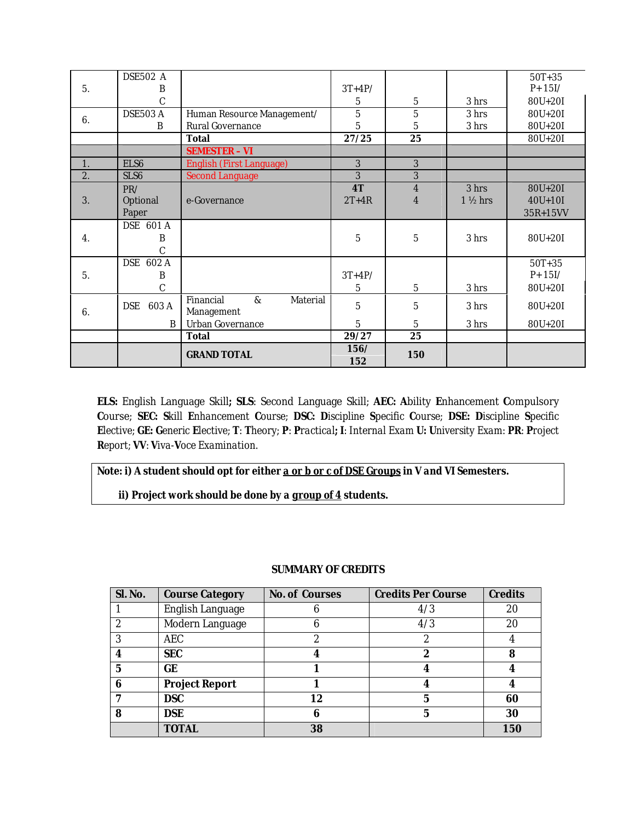|                  | <b>DSE502 A</b>                 |                                            |                |                         |                    | $50T + 35$  |
|------------------|---------------------------------|--------------------------------------------|----------------|-------------------------|--------------------|-------------|
| 5.               | B                               |                                            | $3T+4P/$       |                         |                    | $P + 15I/$  |
|                  | C                               |                                            | 5              | $\overline{5}$          | 3 hrs              | 80U+20I     |
| 6.               | DSE503 A                        | Human Resource Management/                 | $\overline{5}$ | $\overline{5}$          | 3 hrs              | 80U+20I     |
|                  | B                               | <b>Rural Governance</b>                    | 5              | $\overline{5}$          | 3 hrs              | $80U + 20I$ |
|                  |                                 | Total                                      | 27/25          | 25                      |                    | 80U+20I     |
|                  |                                 | <b>SEMESTER - VI</b>                       |                |                         |                    |             |
| 1.               | ELS <sub>6</sub>                | English (First Language)                   | 3              | 3                       |                    |             |
| 2.               | SLS <sub>6</sub>                | <b>Second Language</b>                     | 3              | 3                       |                    |             |
|                  | PR/<br>Optional<br>e-Governance |                                            | 4T             | $\overline{\mathbf{4}}$ | 3 hrs              | 80U+20I     |
| 3.               |                                 |                                            | $2T+4R$        | $\overline{4}$          | $1\frac{1}{2}$ hrs | $40U + 10I$ |
|                  | Paper                           |                                            |                |                         |                    | 35R+15VV    |
|                  | DSE 601 A                       |                                            |                |                         |                    |             |
| $\overline{4}$ . | B                               |                                            | 5              | $\bf 5$                 | 3 hrs              | 80U+20I     |
|                  | C                               |                                            |                |                         |                    |             |
|                  | DSE 602 A                       |                                            |                |                         |                    |             |
|                  |                                 |                                            |                |                         |                    | $50T + 35$  |
| 5.               | B                               |                                            | $3T+4P/$       |                         |                    | $P + 15I/$  |
|                  | C                               |                                            | 5              | 5                       | 3 hrs              | 80U+20I     |
|                  |                                 | Financial<br>$\mathcal{R}_{I}$<br>Material |                |                         |                    |             |
| 6.               | <b>DSE</b><br>603A              | Management                                 | 5              | $\mathbf 5$             | 3 hrs              | 80U+20I     |
|                  | B                               | <b>Urban Governance</b>                    | 5              | 5                       | 3 hrs              | 80U+20I     |
|                  |                                 | Total                                      | 29/27          | 25                      |                    |             |
|                  |                                 | <b>GRAND TOTAL</b>                         | 156/<br>152    | 150                     |                    |             |

**ELS:** English Language Skill**; SLS**: Second Language Skill; **AEC: A**bility **E**nhancement **C**ompulsory **C**ourse; *SEC: Skill Enhancement Course; DSC: Discipline Specific Course; DSE: Discipline Specific*  Elective; GE: Generic Elective; T: Theory; P: Practical; I: Internal Exam U: University Exam: PR: Project *Report; VV: Viva-Voce Examination.*

*Note: i) A student should opt for either a or b or c of DSE Groups in V and VI Semesters.*

 *ii) Project work should be done by a group of 4 students.* 

### **SUMMARY OF CREDITS**

| Sl. No.        | <b>Course Category</b>  | No. of Courses | <b>Credits Per Course</b> | Credits |
|----------------|-------------------------|----------------|---------------------------|---------|
|                | <b>English Language</b> |                | 4/3                       | 20      |
| $\overline{c}$ | Modern Language         | 6              | 4/3                       | 20      |
| 3              | <b>AEC</b>              | 2              |                           |         |
| 4              | <b>SEC</b>              |                | 2                         | 8       |
| 5              | GE                      |                |                           |         |
| 6              | Project Report          |                |                           |         |
|                | <b>DSC</b>              | 12             | 5                         | 60      |
| 8              | <b>DSE</b>              | 6              | 5                         | 30      |
|                | <b>TOTAL</b>            | 38             |                           | 150     |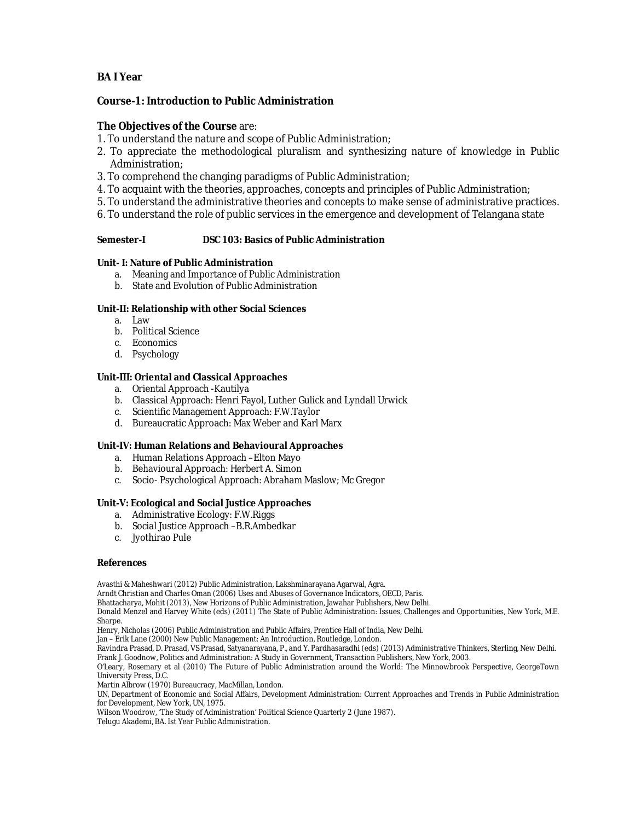### **BA I Year**

**Course-1: Introduction to Public Administration**

**The Objectives of the Course** are:

- 1. To understand the nature and scope of Public Administration;
- 2. To appreciate the methodological pluralism and synthesizing nature of knowledge in Public Administration;
- 3. To comprehend the changing paradigms of Public Administration;
- 4. To acquaint with the theories, approaches, concepts and principles of Public Administration;
- 5. To understand the administrative theories and concepts to make sense of administrative practices.
- 6. To understand the role of public services in the emergence and development of Telangana state

**Semester-I DSC 103: Basics of Public Administration**

**Unit- I: Nature of Public Administration**

- a. Meaning and Importance of Public Administration
- b. State and Evolution of Public Administration

**Unit-II: Relationship with other Social Sciences**

- a. Law
- b. Political Science
- c. Economics
- d. Psychology

**Unit-III: Oriental and Classical Approaches** 

- a. Oriental Approach -Kautilya
- b. Classical Approach: Henri Fayol, Luther Gulick and Lyndall Urwick
- c. Scientific Management Approach: F.W.Taylor
- d. Bureaucratic Approach: Max Weber and Karl Marx

**Unit-IV: Human Relations and Behavioural Approaches**

- a. Human Relations Approach –Elton Mayo
- b. Behavioural Approach: Herbert A. Simon
- c. Socio- Psychological Approach: Abraham Maslow; Mc Gregor

**Unit-V: Ecological and Social Justice Approaches**

- a. Administrative Ecology: F.W.Riggs
- b. Social Justice Approach –B.R.Ambedkar
- c. Jyothirao Pule

#### **References**

Avasthi & Maheshwari (2012) Public Administration, Lakshminarayana Agarwal, Agra.

Arndt Christian and Charles Oman (2006) Uses and Abuses of Governance Indicators, OECD, Paris.

Bhattacharya, Mohit (2013), New Horizons of Public Administration, Jawahar Publishers, New Delhi.

Donald Menzel and Harvey White (eds) (2011) The State of Public Administration: Issues, Challenges and Opportunities, New York, M.E. Sharpe.

Henry, Nicholas (2006) Public Administration and Public Affairs, Prentice Hall of India, New Delhi.

Jan – Erik Lane (2000) New Public Management: An Introduction, Routledge, London.

Ravindra Prasad, D. Prasad, VS Prasad, Satyanarayana, P., and Y. Pardhasaradhi (eds) (2013) Administrative Thinkers, Sterling, New Delhi. Frank J. Goodnow, Politics and Administration: A Study in Government, Transaction Publishers, New York, 2003.

O'Leary, Rosemary et al (2010) The Future of Public Administration around the World: The Minnowbrook Perspective, GeorgeTown University Press, D.C.

Martin Albrow (1970) Bureaucracy, MacMillan, London.

UN, Department of Economic and Social Affairs, Development Administration: Current Approaches and Trends in Public Administration for Development, New York, UN, 1975.

Wilson Woodrow, 'The Study of Administration' Political Science Quarterly 2 (June 1987).

Telugu Akademi, BA. Ist Year Public Administration.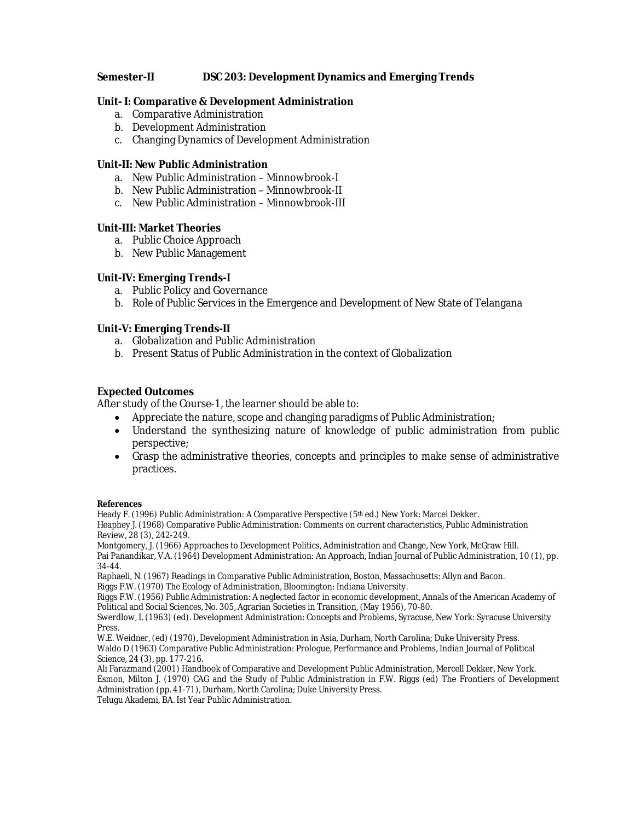**Semester-II DSC 203: Development Dynamics and Emerging Trends**

**Unit- I: Comparative & Development Administration**

- a. Comparative Administration
- b. Development Administration
- c. Changing Dynamics of Development Administration

**Unit-II: New Public Administration**

- a. New Public Administration Minnowbrook-I
- b. New Public Administration Minnowbrook-II
- c. New Public Administration Minnowbrook-III

### **Unit-III: Market Theories**

- a. Public Choice Approach
- b. New Public Management

**Unit-IV: Emerging Trends-I**

- a. Public Policy and Governance
- b. Role of Public Services in the Emergence and Development of New State of Telangana

**Unit-V: Emerging Trends-II**

- a. Globalization and Public Administration
- b. Present Status of Public Administration in the context of Globalization

### **Expected Outcomes**

After study of the Course-1, the learner should be able to:

- Appreciate the nature, scope and changing paradigms of Public Administration;
- Understand the synthesizing nature of knowledge of public administration from public perspective;
- Grasp the administrative theories, concepts and principles to make sense of administrative practices.

**References**

Heady F. (1996) Public Administration: A Comparative Perspective (5th ed.) New York: Marcel Dekker. Heaphey J. (1968) Comparative Public Administration: Comments on current characteristics, Public Administration Review, 28 (3), 242-249.

Montgomery, J. (1966) Approaches to Development Politics, Administration and Change, New York, McGraw Hill. Pai Panandikar, V.A. (1964) Development Administration: An Approach, Indian Journal of Public Administration, 10 (1), pp. 34-44.

Raphaeli, N. (1967) Readings in Comparative Public Administration, Boston, Massachusetts: Allyn and Bacon. Riggs F.W. (1970) The Ecology of Administration, Bloomington: Indiana University.

Riggs F.W. (1956) Public Administration: A neglected factor in economic development, Annals of the American Academy of Political and Social Sciences, No. 305, Agrarian Societies in Transition, (May 1956), 70-80.

Swerdlow, I. (1963) (ed). Development Administration: Concepts and Problems, Syracuse, New York: Syracuse University Press.

W.E. Weidner, (ed) (1970), Development Administration in Asia, Durham, North Carolina; Duke University Press. Waldo D (1963) Comparative Public Administration: Prologue, Performance and Problems, Indian Journal of Political Science, 24 (3), pp. 177-216.

Ali Farazmand (2001) Handbook of Comparative and Development Public Administration, Mercell Dekker, New York. Esmon, Milton J. (1970) CAG and the Study of Public Administration in F.W. Riggs (ed) The Frontiers of Development Administration (pp. 41-71), Durham, North Carolina; Duke University Press.

Telugu Akademi, BA. Ist Year Public Administration.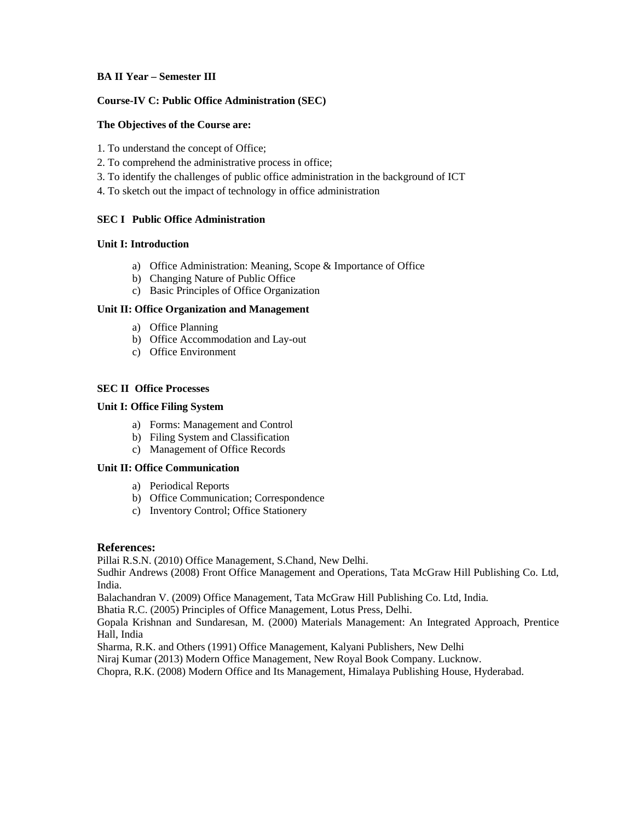### **BA II Year – Semester III**

### **Course-IV C: Public Office Administration (SEC)**

### **The Objectives of the Course are:**

- 1. To understand the concept of Office;
- 2. To comprehend the administrative process in office;
- 3. To identify the challenges of public office administration in the background of ICT
- 4. To sketch out the impact of technology in office administration

### **SEC I Public Office Administration**

### **Unit I: Introduction**

- a) Office Administration: Meaning, Scope & Importance of Office
- b) Changing Nature of Public Office
- c) Basic Principles of Office Organization

### **Unit II: Office Organization and Management**

- a) Office Planning
- b) Office Accommodation and Lay-out
- c) Office Environment

### **SEC II Office Processes**

### **Unit I: Office Filing System**

- a) Forms: Management and Control
- b) Filing System and Classification
- c) Management of Office Records

### **Unit II: Office Communication**

- a) Periodical Reports
- b) Office Communication; Correspondence
- c) Inventory Control; Office Stationery

### **References:**

Pillai R.S.N. (2010) Office Management, S.Chand, New Delhi.

Sudhir Andrews (2008) Front Office Management and Operations, Tata McGraw Hill Publishing Co. Ltd, India.

Balachandran V. (2009) Office Management, Tata McGraw Hill Publishing Co. Ltd, India.

Bhatia R.C. (2005) Principles of Office Management, Lotus Press, Delhi.

Gopala Krishnan and Sundaresan, M. (2000) Materials Management: An Integrated Approach, Prentice Hall, India

Sharma, R.K. and Others (1991) Office Management, Kalyani Publishers, New Delhi

Niraj Kumar (2013) Modern Office Management, New Royal Book Company. Lucknow.

Chopra, R.K. (2008) Modern Office and Its Management, Himalaya Publishing House, Hyderabad.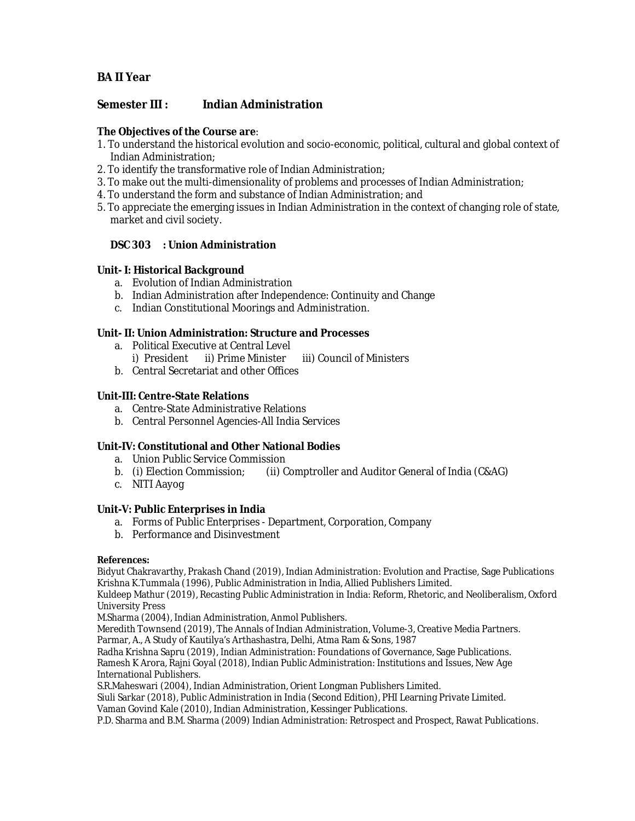**Semester III : Indian Administration**

**The Objectives of the Course are**:

- 1. To understand the historical evolution and socio-economic, political, cultural and global context of Indian Administration;
- 2. To identify the transformative role of Indian Administration;
- 3. To make out the multi-dimensionality of problems and processes of Indian Administration;
- 4. To understand the form and substance of Indian Administration; and
- 5. To appreciate the emerging issues in Indian Administration in the context of changing role of state, market and civil society.

**DSC 303 : Union Administration**

**Unit- I: Historical Background**

- a. Evolution of Indian Administration
- b. Indian Administration after Independence: Continuity and Change
- c. Indian Constitutional Moorings and Administration.

**Unit- II: Union Administration: Structure and Processes**

- a. Political Executive at Central Level
	- i) President ii) Prime Minister iii) Council of Ministers
- b. Central Secretariat and other Offices

### **Unit-III: Centre-State Relations**

- a. Centre-State Administrative Relations
- b. Central Personnel Agencies-All India Services

**Unit-IV: Constitutional and Other National Bodies**

- a. Union Public Service Commission
- b. (i) Election Commission; (ii) Comptroller and Auditor General of India (C&AG)
- c. NITI Aayog

### **Unit-V: Public Enterprises in India**

- a. Forms of Public Enterprises Department, Corporation, Company
- b. Performance and Disinvestment

### **References:**

Bidyut Chakravarthy, Prakash Chand (2019), Indian Administration: Evolution and Practise, Sage Publications Krishna K.Tummala (1996), Public Administration in India, Allied Publishers Limited.

Kuldeep Mathur (2019), Recasting Public Administration in India: Reform, Rhetoric, and Neoliberalism, Oxford University Press

M.Sharma (2004), Indian Administration, Anmol Publishers.

Meredith Townsend (2019), The Annals of Indian Administration, Volume-3, Creative Media Partners.

Parmar, A., A Study of Kautilya's Arthashastra, Delhi, Atma Ram & Sons, 1987

Radha Krishna Sapru (2019), Indian Administration: Foundations of Governance, Sage Publications. Ramesh K Arora, Rajni Goyal (2018), Indian Public Administration: Institutions and Issues, New Age International Publishers.

S.R.Maheswari (2004), Indian Administration, Orient Longman Publishers Limited.

Siuli Sarkar (2018), Public Administration in India (Second Edition), PHI Learning Private Limited.

Vaman Govind Kale (2010), Indian Administration, Kessinger Publications.

P.D. Sharma and B.M. Sharma (2009) Indian Administration: Retrospect and Prospect, Rawat Publications.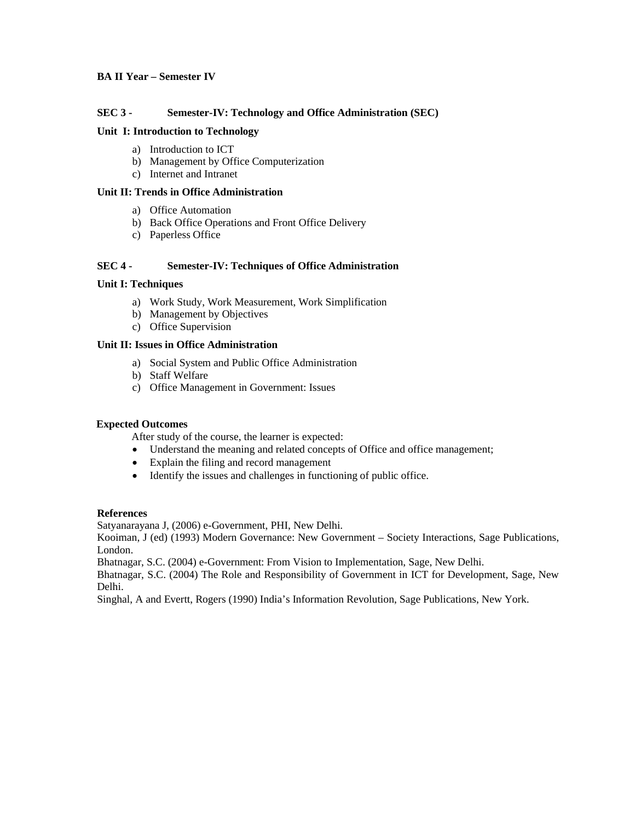### **BA II Year – Semester IV**

### **SEC 3 - Semester-IV: Technology and Office Administration (SEC)**

### **Unit I: Introduction to Technology**

- a) Introduction to ICT
- b) Management by Office Computerization
- c) Internet and Intranet

#### **Unit II: Trends in Office Administration**

- a) Office Automation
- b) Back Office Operations and Front Office Delivery
- c) Paperless Office

### **SEC 4 - Semester-IV: Techniques of Office Administration**

### **Unit I: Techniques**

- a) Work Study, Work Measurement, Work Simplification
- b) Management by Objectives
- c) Office Supervision

### **Unit II: Issues in Office Administration**

- a) Social System and Public Office Administration
- b) Staff Welfare
- c) Office Management in Government: Issues

### **Expected Outcomes**

After study of the course, the learner is expected:

- Understand the meaning and related concepts of Office and office management;
- Explain the filing and record management
- Identify the issues and challenges in functioning of public office.

### **References**

Satyanarayana J, (2006) e-Government, PHI, New Delhi.

Kooiman, J (ed) (1993) Modern Governance: New Government – Society Interactions, Sage Publications, London.

Bhatnagar, S.C. (2004) e-Government: From Vision to Implementation, Sage, New Delhi.

Bhatnagar, S.C. (2004) The Role and Responsibility of Government in ICT for Development, Sage, New Delhi.

Singhal, A and Evertt, Rogers (1990) India's Information Revolution, Sage Publications, New York.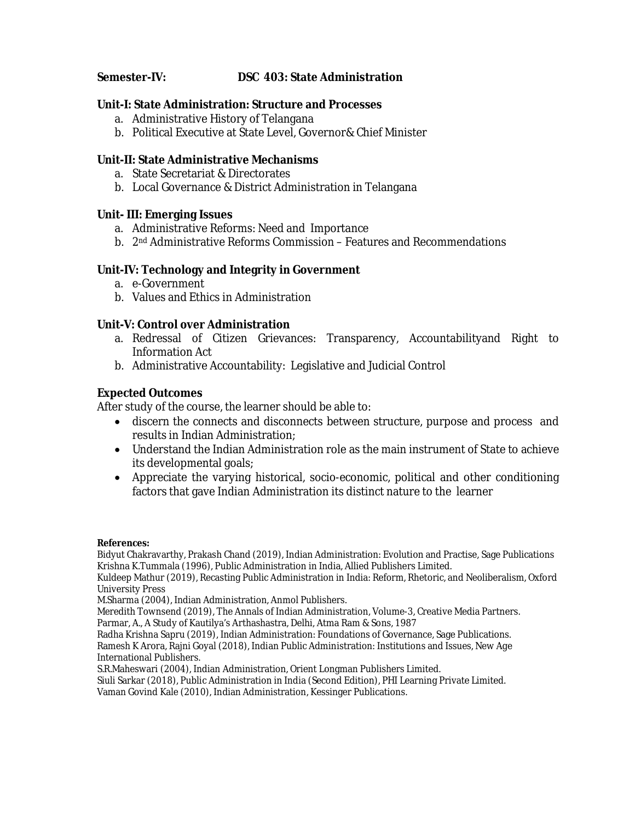### **Semester-IV: DSC 403: State Administration**

**Unit-I: State Administration: Structure and Processes**

- a. Administrative History of Telangana
- b. Political Executive at State Level, Governor& Chief Minister

**Unit-II: State Administrative Mechanisms**

- a. State Secretariat & Directorates
- b. Local Governance & District Administration in Telangana

**Unit- III: Emerging Issues** 

- a. Administrative Reforms: Need and Importance
- b. 2nd Administrative Reforms Commission Features and Recommendations

### **Unit-IV: Technology and Integrity in Government**

- a. e-Government
- b. Values and Ethics in Administration

**Unit-V: Control over Administration**

- a. Redressal of Citizen Grievances: Transparency, Accountabilityand Right to Information Act
- b. Administrative Accountability: Legislative and Judicial Control

### **Expected Outcomes**

After study of the course, the learner should be able to:

- discern the connects and disconnects between structure, purpose and process and results in Indian Administration;
- Understand the Indian Administration role as the main instrument of State to achieve its developmental goals;
- Appreciate the varying historical, socio-economic, political and other conditioning factors that gave Indian Administration its distinct nature to the learner

**References:**

Bidyut Chakravarthy, Prakash Chand (2019), Indian Administration: Evolution and Practise, Sage Publications Krishna K.Tummala (1996), Public Administration in India, Allied Publishers Limited.

Kuldeep Mathur (2019), Recasting Public Administration in India: Reform, Rhetoric, and Neoliberalism, Oxford University Press

M.Sharma (2004), Indian Administration, Anmol Publishers.

Meredith Townsend (2019), The Annals of Indian Administration, Volume-3, Creative Media Partners.

Parmar, A., A Study of Kautilya's Arthashastra, Delhi, Atma Ram & Sons, 1987

Radha Krishna Sapru (2019), Indian Administration: Foundations of Governance, Sage Publications. Ramesh K Arora, Rajni Goyal (2018), Indian Public Administration: Institutions and Issues, New Age International Publishers.

S.R.Maheswari (2004), Indian Administration, Orient Longman Publishers Limited.

Siuli Sarkar (2018), Public Administration in India (Second Edition), PHI Learning Private Limited. Vaman Govind Kale (2010), Indian Administration, Kessinger Publications.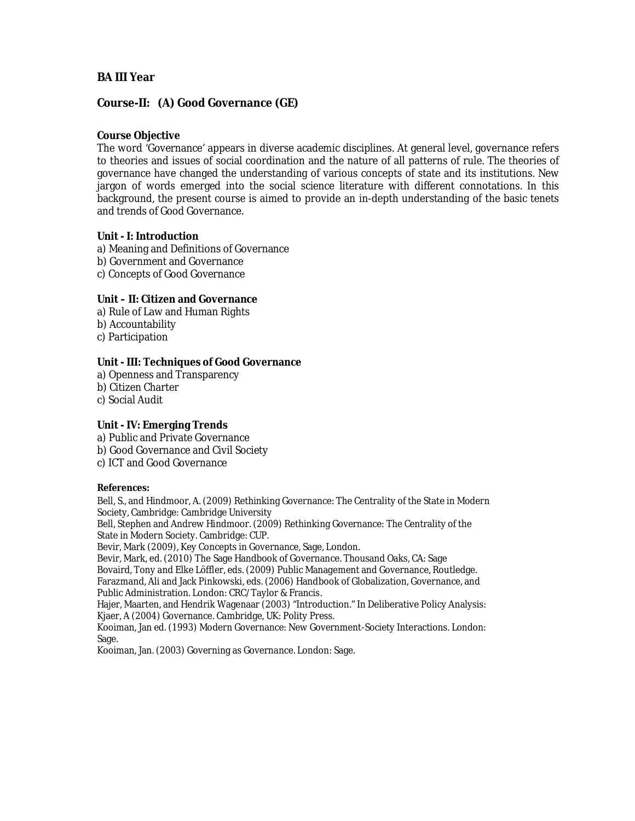**Course-II: (A) Good Governance (GE)**

**Course Objective**

The word 'Governance' appears in diverse academic disciplines. At general level, governance refers to theories and issues of social coordination and the nature of all patterns of rule. The theories of governance have changed the understanding of various concepts of state and its institutions. New jargon of words emerged into the social science literature with different connotations. In this background, the present course is aimed to provide an in-depth understanding of the basic tenets and trends of Good Governance.

**Unit - I: Introduction** a) Meaning and Definitions of Governance b) Government and Governance c) Concepts of Good Governance

**Unit – II: Citizen and Governance** a) Rule of Law and Human Rights b) Accountability c) Participation

**Unit - III: Techniques of Good Governance**  a) Openness and Transparency b) Citizen Charter c) Social Audit

**Unit - IV: Emerging Trends** a) Public and Private Governance b) Good Governance and Civil Society c) ICT and Good Governance

**References:**

Bell, S., and Hindmoor, A. (2009) Rethinking Governance: The Centrality of the State in Modern Society, Cambridge: Cambridge University

Bell, Stephen and Andrew Hindmoor. (2009) Rethinking Governance: The Centrality of the State in Modern Society. Cambridge: CUP.

Bevir, Mark (2009), Key Concepts in Governance, Sage, London.

Bevir, Mark, ed. (2010) The Sage Handbook of Governance. Thousand Oaks, CA: Sage

Bovaird, Tony and Elke Löffler, eds. (2009) Public Management and Governance, Routledge. Farazmand, Ali and Jack Pinkowski, eds. (2006) Handbook of Globalization, Governance, and Public Administration. London: CRC/Taylor & Francis.

Hajer, Maarten, and Hendrik Wagenaar (2003) "Introduction." In Deliberative Policy Analysis: Kjaer, A (2004) Governance. Cambridge, UK: Polity Press.

Kooiman, Jan ed. (1993) Modern Governance: New Government-Society Interactions. London: Sage.

Kooiman, Jan. (2003) Governing as Governance. London: Sage.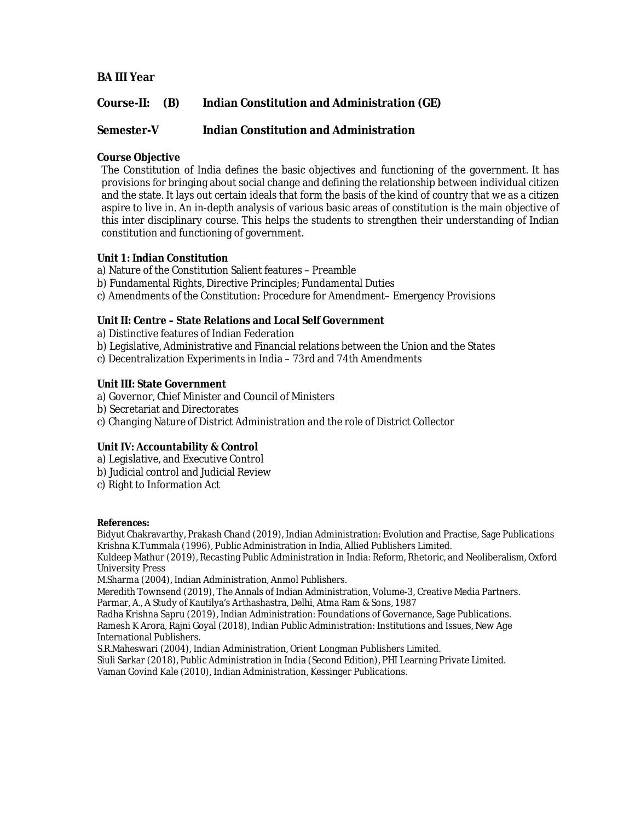**Course-II: (B) Indian Constitution and Administration (GE)**

**Semester-V Indian Constitution and Administration**

**Course Objective**

The Constitution of India defines the basic objectives and functioning of the government. It has provisions for bringing about social change and defining the relationship between individual citizen and the state. It lays out certain ideals that form the basis of the kind of country that we as a citizen aspire to live in. An in-depth analysis of various basic areas of constitution is the main objective of this inter disciplinary course. This helps the students to strengthen their understanding of Indian constitution and functioning of government.

**Unit 1: Indian Constitution**

a) Nature of the Constitution Salient features – Preamble

b) Fundamental Rights, Directive Principles; Fundamental Duties

c) Amendments of the Constitution: Procedure for Amendment– Emergency Provisions

**Unit II: Centre – State Relations and Local Self Government**

a) Distinctive features of Indian Federation

b) Legislative, Administrative and Financial relations between the Union and the States

c) Decentralization Experiments in India – 73rd and 74th Amendments

**Unit III: State Government**

a) Governor, Chief Minister and Council of Ministers

b) Secretariat and Directorates

c) Changing Nature of District Administration and the role of District Collector

**Unit IV: Accountability & Control**

a) Legislative, and Executive Control

b) Judicial control and Judicial Review

c) Right to Information Act

**References:**

Bidyut Chakravarthy, Prakash Chand (2019), Indian Administration: Evolution and Practise, Sage Publications Krishna K.Tummala (1996), Public Administration in India, Allied Publishers Limited.

Kuldeep Mathur (2019), Recasting Public Administration in India: Reform, Rhetoric, and Neoliberalism, Oxford University Press

M.Sharma (2004), Indian Administration, Anmol Publishers.

Meredith Townsend (2019), The Annals of Indian Administration, Volume-3, Creative Media Partners. Parmar, A., A Study of Kautilya's Arthashastra, Delhi, Atma Ram & Sons, 1987

Radha Krishna Sapru (2019), Indian Administration: Foundations of Governance, Sage Publications. Ramesh K Arora, Rajni Goyal (2018), Indian Public Administration: Institutions and Issues, New Age International Publishers.

S.R.Maheswari (2004), Indian Administration, Orient Longman Publishers Limited.

Siuli Sarkar (2018), Public Administration in India (Second Edition), PHI Learning Private Limited. Vaman Govind Kale (2010), Indian Administration, Kessinger Publications.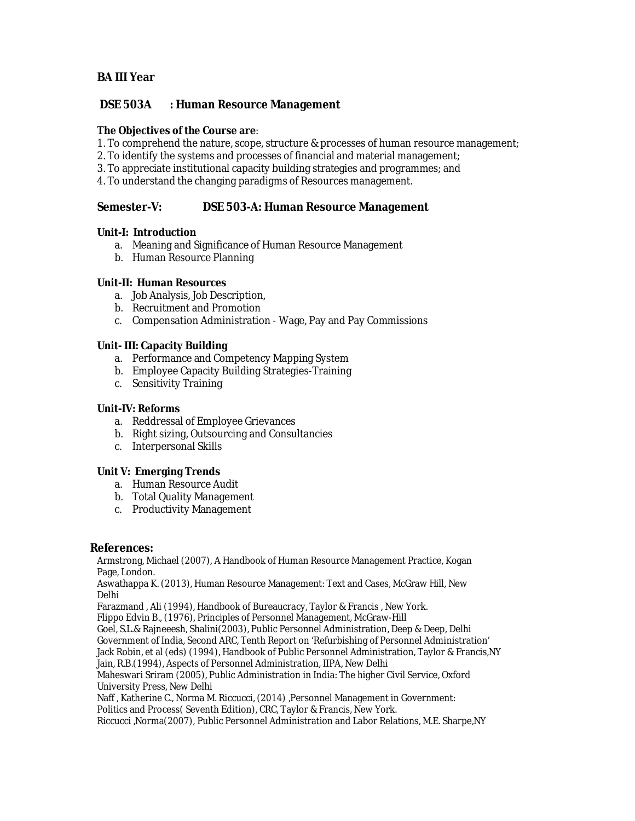### **DSE 503A : Human Resource Management**

**The Objectives of the Course are**:

- 1. To comprehend the nature, scope, structure & processes of human resource management;
- 2. To identify the systems and processes of financial and material management;
- 3. To appreciate institutional capacity building strategies and programmes; and
- 4. To understand the changing paradigms of Resources management.

### **Semester-V: DSE 503-A: Human Resource Management**

### **Unit-I: Introduction**

- a. Meaning and Significance of Human Resource Management
- b. Human Resource Planning

### **Unit-II: Human Resources**

- a. Job Analysis, Job Description,
- b. Recruitment and Promotion
- c. Compensation Administration Wage, Pay and Pay Commissions

### **Unit- III: Capacity Building**

- a. Performance and Competency Mapping System
- b. Employee Capacity Building Strategies-Training
- c. Sensitivity Training

### **Unit-IV: Reforms**

- a. Reddressal of Employee Grievances
- b. Right sizing, Outsourcing and Consultancies
- c. Interpersonal Skills

### **Unit V: Emerging Trends**

- a. Human Resource Audit
- b. Total Quality Management
- c. Productivity Management

### **References:**

Armstrong, Michael (2007), A Handbook of Human Resource Management Practice, Kogan Page, London.

Aswathappa K. (2013), Human Resource Management: Text and Cases, McGraw Hill, New Delhi

Farazmand , Ali (1994), Handbook of Bureaucracy, Taylor & Francis , New York.

Flippo Edvin B., (1976), Principles of Personnel Management, McGraw-Hill

Goel, S.L.& Rajneeesh, Shalini(2003), Public Personnel Administration, Deep & Deep, Delhi

Government of India, Second ARC, Tenth Report on 'Refurbishing of Personnel Administration'

Jack Robin, et al (eds) (1994), Handbook of Public Personnel Administration, Taylor & Francis,NY

Jain, R.B.(1994), Aspects of Personnel Administration, IIPA, New Delhi

Maheswari Sriram (2005), Public Administration in India: The higher Civil Service, Oxford University Press, New Delhi

Naff , Katherine C., Norma M. Riccucci, (2014) ,Personnel Management in Government:

Politics and Process( Seventh Edition), CRC, Taylor & Francis, New York.

Riccucci ,Norma(2007), Public Personnel Administration and Labor Relations, M.E. Sharpe,NY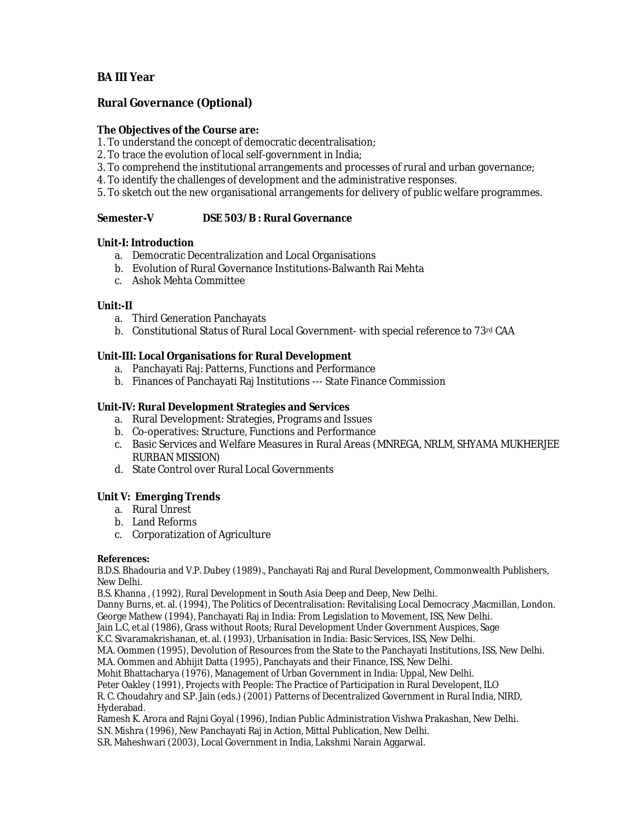**Rural Governance (Optional)**

**The Objectives of the Course are:**

1. To understand the concept of democratic decentralisation;

- 2. To trace the evolution of local self-government in India;
- 3. To comprehend the institutional arrangements and processes of rural and urban governance;
- 4. To identify the challenges of development and the administrative responses.
- 5. To sketch out the new organisational arrangements for delivery of public welfare programmes.

**Semester-V DSE 503/B : Rural Governance**

**Unit-I: Introduction**

- a. Democratic Decentralization and Local Organisations
- b. Evolution of Rural Governance Institutions-Balwanth Rai Mehta
- c. Ashok Mehta Committee

**Unit:-II**

- a. Third Generation Panchayats
- b. Constitutional Status of Rural Local Government- with special reference to 73rd CAA

**Unit-III: Local Organisations for Rural Development**

- a. Panchayati Raj: Patterns, Functions and Performance
- b. Finances of Panchayati Raj Institutions --- State Finance Commission

**Unit-IV: Rural Development Strategies and Services**

- a. Rural Development: Strategies, Programs and Issues
- b. Co-operatives: Structure, Functions and Performance
- c. Basic Services and Welfare Measures in Rural Areas (MNREGA, NRLM, SHYAMA MUKHERJEE RURBAN MISSION)
- d. State Control over Rural Local Governments

### **Unit V: Emerging Trends**

- a. Rural Unrest
- b. Land Reforms
- c. Corporatization of Agriculture

**References:**

B.D.S. Bhadouria and V.P. Dubey (1989)., Panchayati Raj and Rural Development, Commonwealth Publishers, New Delhi.

B.S. Khanna , (1992), Rural Development in South Asia Deep and Deep, New Delhi.

Danny Burns, et. al. (1994), The Politics of Decentralisation: Revitalising Local Democracy ,Macmillan, London. George Mathew (1994), Panchayati Raj in India: From Legislation to Movement, ISS, New Delhi.

Jain L.C, et.al (1986), Grass without Roots; Rural Development Under Government Auspices, Sage

K.C. Sivaramakrishanan, et. al. (1993), Urbanisation in India: Basic Services, ISS, New Delhi.

M.A. Oommen (1995), Devolution of Resources from the State to the Panchayati Institutions, ISS, New Delhi.

M.A. Oommen and Abhijit Datta (1995), Panchayats and their Finance, ISS, New Delhi.

Mohit Bhattacharya (1976), Management of Urban Government in India: Uppal, New Delhi.

Peter Oakley (1991), Projects with People: The Practice of Participation in Rural Developent, ILO

R. C. Choudahry and S.P. Jain (eds.) (2001) Patterns of Decentralized Government in Rural India, NIRD, Hyderabad.

Ramesh K. Arora and Rajni Goyal (1996), Indian Public Administration Vishwa Prakashan, New Delhi.

S.N. Mishra (1996), New Panchayati Raj in Action, Mittal Publication, New Delhi.

S.R. Maheshwari (2003), Local Government in India, Lakshmi Narain Aggarwal.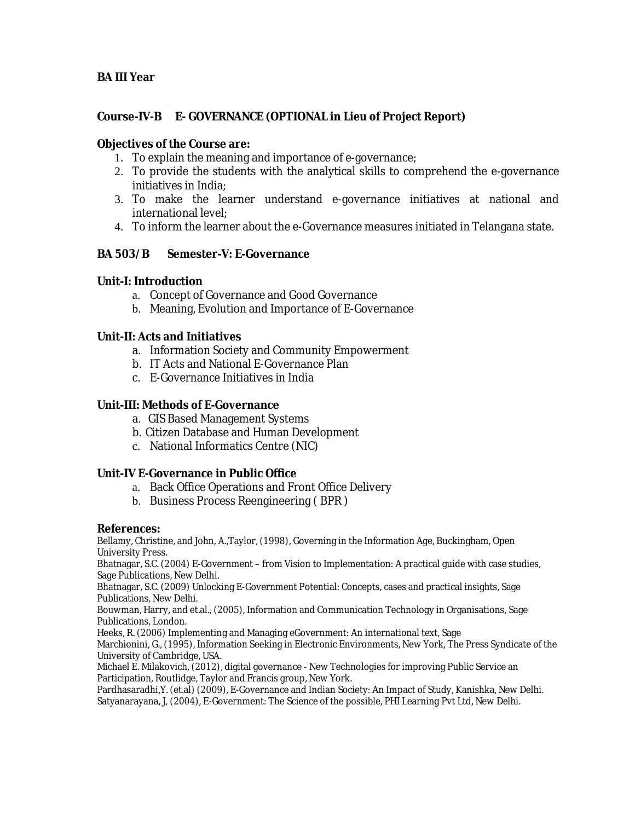## **Course-IV-B E- GOVERNANCE (OPTIONAL in Lieu of Project Report)**

## **Objectives of the Course are:**

- 1. To explain the meaning and importance of e-governance;
- 2. To provide the students with the analytical skills to comprehend the e-governance initiatives in India;
- 3. To make the learner understand e-governance initiatives at national and international level;
- 4. To inform the learner about the e-Governance measures initiated in Telangana state.
- **BA 503/B Semester-V: E-Governance**

### **Unit-I: Introduction**

- a. Concept of Governance and Good Governance
- b. Meaning, Evolution and Importance of E-Governance

### **Unit-II: Acts and Initiatives**

- a. Information Society and Community Empowerment
- b. IT Acts and National E-Governance Plan
- c. E-Governance Initiatives in India

### **Unit-III: Methods of E-Governance**

- a. GIS Based Management Systems
- b. Citizen Database and Human Development
- c. National Informatics Centre (NIC)

### **Unit-IV E-Governance in Public Office**

- a. Back Office Operations and Front Office Delivery
- b. Business Process Reengineering ( BPR )

### **References:**

Bellamy, Christine, and John, A.,Taylor, (1998), Governing in the Information Age, Buckingham, Open University Press.

Bhatnagar, S.C. (2004) E-Government – from Vision to Implementation: A practical guide with case studies, Sage Publications, New Delhi.

Bhatnagar, S.C. (2009) Unlocking E-Government Potential: Concepts, cases and practical insights, Sage Publications, New Delhi.

Bouwman, Harry, and et.al., (2005), Information and Communication Technology in Organisations, Sage Publications, London.

Heeks, R. (2006) Implementing and Managing eGovernment: An international text, Sage Marchionini, G., (1995), Information Seeking in Electronic Environments, New York, The Press Syndicate of the University of Cambridge, USA.

Michael E. Milakovich, (2012), digital governance - New Technologies for improving Public Service an Participation, Routlidge, Taylor and Francis group, New York.

Pardhasaradhi,Y. (et.al) (2009), E-Governance and Indian Society: An Impact of Study, Kanishka, New Delhi. Satyanarayana, J, (2004), E-Government: The Science of the possible, PHI Learning Pvt Ltd, New Delhi.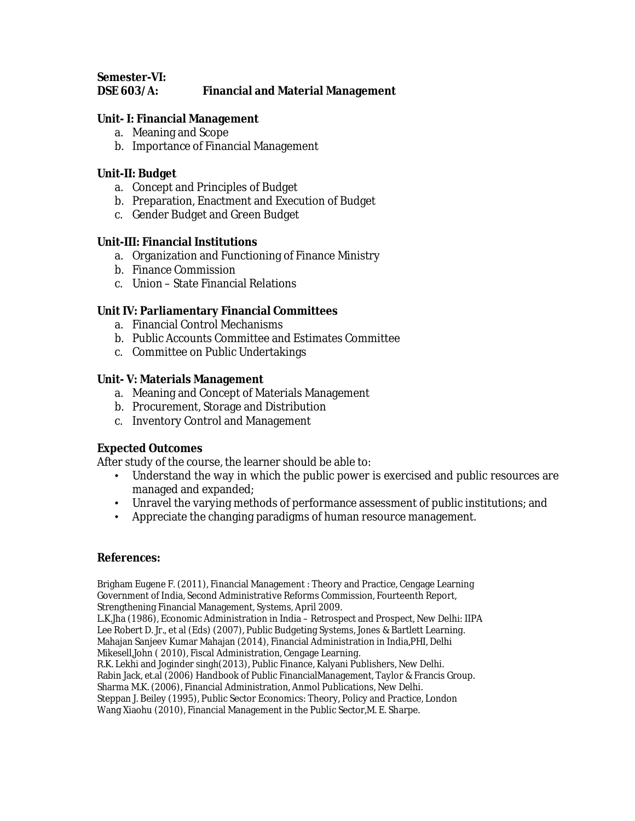**Semester-VI:** 

### **DSE 603/A: Financial and Material Management**

### **Unit- I: Financial Management**

- a. Meaning and Scope
- b. Importance of Financial Management

### **Unit-II: Budget**

- a. Concept and Principles of Budget
- b. Preparation, Enactment and Execution of Budget
- c. Gender Budget and Green Budget

### **Unit-III: Financial Institutions**

- a. Organization and Functioning of Finance Ministry
- b. Finance Commission
- c. Union State Financial Relations

### **Unit IV: Parliamentary Financial Committees**

- a. Financial Control Mechanisms
- b. Public Accounts Committee and Estimates Committee
- c. Committee on Public Undertakings

### **Unit- V: Materials Management**

- a. Meaning and Concept of Materials Management
- b. Procurement, Storage and Distribution
- c. Inventory Control and Management

### **Expected Outcomes**

After study of the course, the learner should be able to:

- Understand the way in which the public power is exercised and public resources are managed and expanded;
- Unravel the varying methods of performance assessment of public institutions; and
- Appreciate the changing paradigms of human resource management.

### **References:**

Brigham Eugene F. (2011), Financial Management : Theory and Practice, Cengage Learning Government of India, Second Administrative Reforms Commission, Fourteenth Report, Strengthening Financial Management, Systems, April 2009. L.K.Jha (1986), Economic Administration in India – Retrospect and Prospect, New Delhi: IIPA Lee Robert D. Jr., et al (Eds) (2007), Public Budgeting Systems, Jones & Bartlett Learning. Mahajan Sanjeev Kumar Mahajan (2014), Financial Administration in India,PHI, Delhi Mikesell,John ( 2010), Fiscal Administration, Cengage Learning. R.K. Lekhi and Joginder singh(2013), Public Finance, Kalyani Publishers, New Delhi. Rabin Jack, et.al (2006) Handbook of Public FinancialManagement, Taylor & Francis Group. Sharma M.K. (2006), Financial Administration, Anmol Publications, New Delhi. Steppan J. Beiley (1995), Public Sector Economics: Theory, Policy and Practice, London Wang Xiaohu (2010), Financial Management in the Public Sector,M. E. Sharpe.